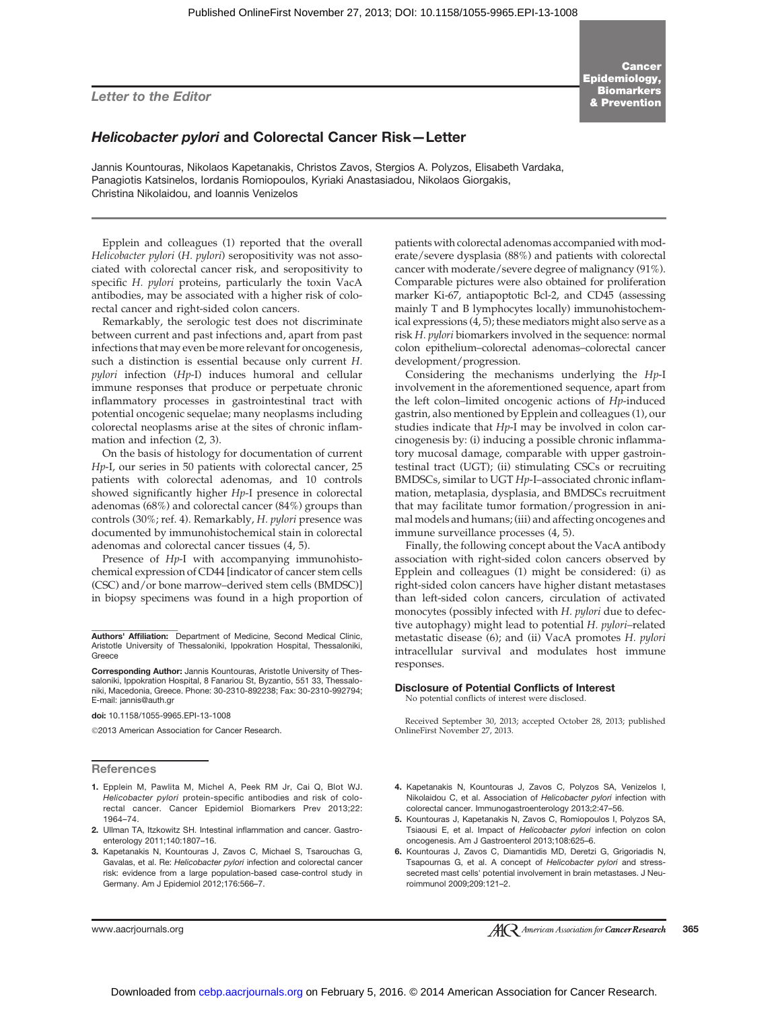Letter to the Editor

**Cancer** Epidemiology, **Biomarkers** & Prevention

### Helicobacter pylori and Colorectal Cancer Risk—Letter

Jannis Kountouras, Nikolaos Kapetanakis, Christos Zavos, Stergios A. Polyzos, Elisabeth Vardaka, Panagiotis Katsinelos, Iordanis Romiopoulos, Kyriaki Anastasiadou, Nikolaos Giorgakis, Christina Nikolaidou, and Ioannis Venizelos

Epplein and colleagues (1) reported that the overall Helicobacter pylori (H. pylori) seropositivity was not associated with colorectal cancer risk, and seropositivity to specific H. pylori proteins, particularly the toxin VacA antibodies, may be associated with a higher risk of colorectal cancer and right-sided colon cancers.

Remarkably, the serologic test does not discriminate between current and past infections and, apart from past infections that may even be more relevant for oncogenesis, such a distinction is essential because only current H. pylori infection (Hp-I) induces humoral and cellular immune responses that produce or perpetuate chronic inflammatory processes in gastrointestinal tract with potential oncogenic sequelae; many neoplasms including colorectal neoplasms arise at the sites of chronic inflammation and infection (2, 3).

On the basis of histology for documentation of current Hp-I, our series in 50 patients with colorectal cancer, 25 patients with colorectal adenomas, and 10 controls showed significantly higher Hp-I presence in colorectal adenomas (68%) and colorectal cancer (84%) groups than controls (30%; ref. 4). Remarkably, H. pylori presence was documented by immunohistochemical stain in colorectal adenomas and colorectal cancer tissues (4, 5).

Presence of Hp-I with accompanying immunohistochemical expression of CD44 [indicator of cancer stem cells (CSC) and/or bone marrow–derived stem cells (BMDSC)] in biopsy specimens was found in a high proportion of

doi: 10.1158/1055-9965.EPI-13-1008

2013 American Association for Cancer Research.

#### References

- 1. Epplein M, Pawlita M, Michel A, Peek RM Jr, Cai Q, Blot WJ. Helicobacter pylori protein-specific antibodies and risk of colorectal cancer. Cancer Epidemiol Biomarkers Prev 2013;22: 1964–74.
- 2. Ullman TA, Itzkowitz SH. Intestinal inflammation and cancer. Gastroenterology 2011;140:1807–16.
- 3. Kapetanakis N, Kountouras J, Zavos C, Michael S, Tsarouchas G, Gavalas, et al. Re: Helicobacter pylori infection and colorectal cancer risk: evidence from a large population-based case-control study in Germany. Am J Epidemiol 2012;176:566–7.

patients with colorectal adenomas accompanied with moderate/severe dysplasia (88%) and patients with colorectal cancer with moderate/severe degree of malignancy (91%). Comparable pictures were also obtained for proliferation marker Ki-67, antiapoptotic Bcl-2, and CD45 (assessing mainly T and B lymphocytes locally) immunohistochemical expressions (4, 5); these mediators might also serve as a risk H. pylori biomarkers involved in the sequence: normal colon epithelium–colorectal adenomas–colorectal cancer development/progression.

Considering the mechanisms underlying the Hp-I involvement in the aforementioned sequence, apart from the left colon–limited oncogenic actions of Hp-induced gastrin, also mentioned by Epplein and colleagues (1), our studies indicate that  $Hp$ -I may be involved in colon carcinogenesis by: (i) inducing a possible chronic inflammatory mucosal damage, comparable with upper gastrointestinal tract (UGT); (ii) stimulating CSCs or recruiting BMDSCs, similar to UGT Hp-I–associated chronic inflammation, metaplasia, dysplasia, and BMDSCs recruitment that may facilitate tumor formation/progression in animal models and humans; (iii) and affecting oncogenes and immune surveillance processes (4, 5).

Finally, the following concept about the VacA antibody association with right-sided colon cancers observed by Epplein and colleagues (1) might be considered: (i) as right-sided colon cancers have higher distant metastases than left-sided colon cancers, circulation of activated monocytes (possibly infected with H. pylori due to defective autophagy) might lead to potential H. pylori-related metastatic disease (6); and (ii) VacA promotes H. pylori intracellular survival and modulates host immune responses.

#### Disclosure of Potential Conflicts of Interest

No potential conflicts of interest were disclosed.

Received September 30, 2013; accepted October 28, 2013; published OnlineFirst November 27, 2013.

- 4. Kapetanakis N, Kountouras J, Zavos C, Polyzos SA, Venizelos I, Nikolaidou C, et al. Association of Helicobacter pylori infection with colorectal cancer. Immunogastroenterology 2013;2:47–56.
- 5. Kountouras J, Kapetanakis N, Zavos C, Romiopoulos I, Polyzos SA, Tsiaousi E, et al. Impact of Helicobacter pylori infection on colon oncogenesis. Am J Gastroenterol 2013;108:625–6.
- 6. Kountouras J, Zavos C, Diamantidis MD, Deretzi G, Grigoriadis N, Tsapournas G, et al. A concept of Helicobacter pylori and stresssecreted mast cells' potential involvement in brain metastases. J Neuroimmunol 2009;209:121–2.

Authors' Affiliation: Department of Medicine, Second Medical Clinic, Aristotle University of Thessaloniki, Ippokration Hospital, Thessaloniki, Greece

Corresponding Author: Jannis Kountouras, Aristotle University of Thessaloniki, Ippokration Hospital, 8 Fanariou St, Byzantio, 551 33, Thessaloniki, Macedonia, Greece. Phone: 30-2310-892238; Fax: 30-2310-992794; E-mail: jannis@auth.gr